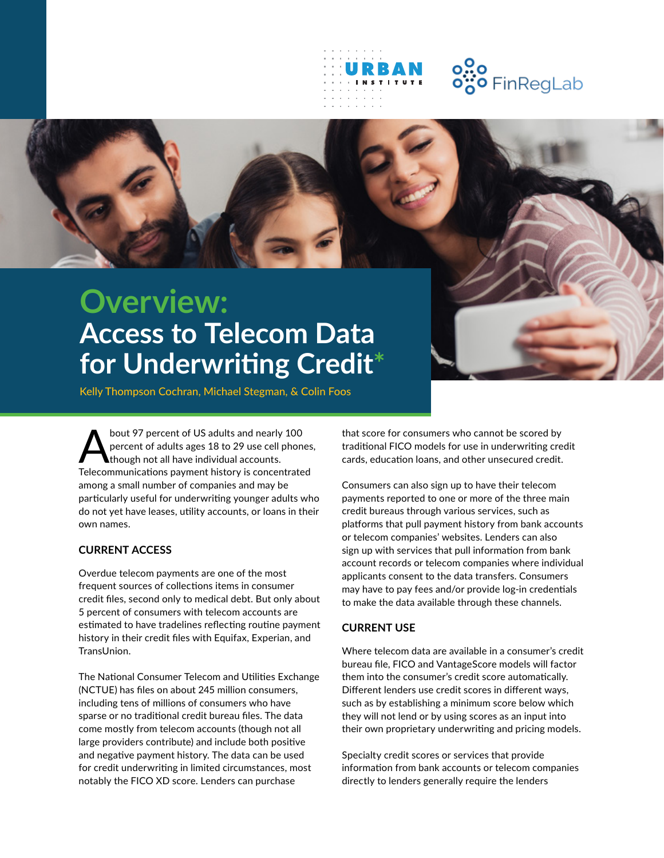



# **Overview: Access to Telecom Data for Underwriting Credit\***

Kelly Thompson Cochran, Michael Stegman, & Colin Foos

bout 97 percent of US adults and nearly 100<br>percent of adults ages 18 to 29 use cell phone<br>though not all have individual accounts. percent of adults ages 18 to 29 use cell phones, though not all have individual accounts. Telecommunications payment history is concentrated among a small number of companies and may be particularly useful for underwriting younger adults who do not yet have leases, utility accounts, or loans in their own names.

## **CURRENT ACCESS**

Overdue telecom payments are one of the most frequent sources of collections items in consumer credit files, second only to medical debt. But only about 5 percent of consumers with telecom accounts are estimated to have tradelines reflecting routine payment history in their credit files with Equifax, Experian, and TransUnion.

The National Consumer Telecom and Utilities Exchange (NCTUE) has files on about 245 million consumers, including tens of millions of consumers who have sparse or no traditional credit bureau files. The data come mostly from telecom accounts (though not all large providers contribute) and include both positive and negative payment history. The data can be used for credit underwriting in limited circumstances, most notably the FICO XD score. Lenders can purchase

that score for consumers who cannot be scored by traditional FICO models for use in underwriting credit cards, education loans, and other unsecured credit.

Consumers can also sign up to have their telecom payments reported to one or more of the three main credit bureaus through various services, such as platforms that pull payment history from bank accounts or telecom companies' websites. Lenders can also sign up with services that pull information from bank account records or telecom companies where individual applicants consent to the data transfers. Consumers may have to pay fees and/or provide log-in credentials to make the data available through these channels.

## **CURRENT USE**

Where telecom data are available in a consumer's credit bureau file, FICO and VantageScore models will factor them into the consumer's credit score automatically. Different lenders use credit scores in different ways, such as by establishing a minimum score below which they will not lend or by using scores as an input into their own proprietary underwriting and pricing models.

Specialty credit scores or services that provide information from bank accounts or telecom companies directly to lenders generally require the lenders